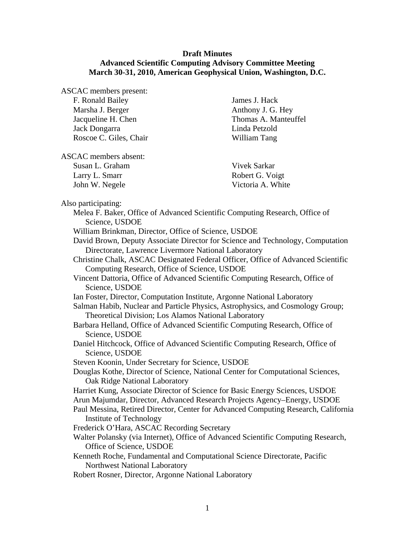## **Draft Minutes Advanced Scientific Computing Advisory Committee Meeting March 30-31, 2010, American Geophysical Union, Washington, D.C.**

ASCAC members present:

| F. Ronald Bailey       | Jame |
|------------------------|------|
| Marsha J. Berger       | Anth |
| Jacqueline H. Chen     | Thor |
| Jack Dongarra          | Lind |
| Roscoe C. Giles, Chair | Will |

es J. Hack ony J. G. Hey nas A. Manteuffel la Petzold iam Tang

ASCAC members absent:

| Susan L. Graham | Vivel |
|-----------------|-------|
| Larry L. Smarr  | Robe  |
| John W. Negele  | Victo |

k Sarkar rt G. Voigt oria A. White

Also participating:

| so participating:                                                                                                                                                                                                                                                                                                                                                                                                                                                                                                                                                                                                                                                                                                          |
|----------------------------------------------------------------------------------------------------------------------------------------------------------------------------------------------------------------------------------------------------------------------------------------------------------------------------------------------------------------------------------------------------------------------------------------------------------------------------------------------------------------------------------------------------------------------------------------------------------------------------------------------------------------------------------------------------------------------------|
| Melea F. Baker, Office of Advanced Scientific Computing Research, Office of                                                                                                                                                                                                                                                                                                                                                                                                                                                                                                                                                                                                                                                |
| Science, USDOE                                                                                                                                                                                                                                                                                                                                                                                                                                                                                                                                                                                                                                                                                                             |
| William Brinkman, Director, Office of Science, USDOE                                                                                                                                                                                                                                                                                                                                                                                                                                                                                                                                                                                                                                                                       |
| David Brown, Deputy Associate Director for Science and Technology, Computation                                                                                                                                                                                                                                                                                                                                                                                                                                                                                                                                                                                                                                             |
| Directorate, Lawrence Livermore National Laboratory                                                                                                                                                                                                                                                                                                                                                                                                                                                                                                                                                                                                                                                                        |
| Christine Chalk, ASCAC Designated Federal Officer, Office of Advanced Scientific                                                                                                                                                                                                                                                                                                                                                                                                                                                                                                                                                                                                                                           |
| Computing Research, Office of Science, USDOE                                                                                                                                                                                                                                                                                                                                                                                                                                                                                                                                                                                                                                                                               |
| Vincent Dattoria, Office of Advanced Scientific Computing Research, Office of                                                                                                                                                                                                                                                                                                                                                                                                                                                                                                                                                                                                                                              |
| Science, USDOE                                                                                                                                                                                                                                                                                                                                                                                                                                                                                                                                                                                                                                                                                                             |
| Ian Foster, Director, Computation Institute, Argonne National Laboratory                                                                                                                                                                                                                                                                                                                                                                                                                                                                                                                                                                                                                                                   |
| Salman Habib, Nuclear and Particle Physics, Astrophysics, and Cosmology Group;                                                                                                                                                                                                                                                                                                                                                                                                                                                                                                                                                                                                                                             |
| Theoretical Division; Los Alamos National Laboratory                                                                                                                                                                                                                                                                                                                                                                                                                                                                                                                                                                                                                                                                       |
| Barbara Helland, Office of Advanced Scientific Computing Research, Office of                                                                                                                                                                                                                                                                                                                                                                                                                                                                                                                                                                                                                                               |
| Science, USDOE                                                                                                                                                                                                                                                                                                                                                                                                                                                                                                                                                                                                                                                                                                             |
| Daniel Hitchcock, Office of Advanced Scientific Computing Research, Office of                                                                                                                                                                                                                                                                                                                                                                                                                                                                                                                                                                                                                                              |
| Science, USDOE                                                                                                                                                                                                                                                                                                                                                                                                                                                                                                                                                                                                                                                                                                             |
| Steven Koonin, Under Secretary for Science, USDOE                                                                                                                                                                                                                                                                                                                                                                                                                                                                                                                                                                                                                                                                          |
| Douglas Kothe, Director of Science, National Center for Computational Sciences,                                                                                                                                                                                                                                                                                                                                                                                                                                                                                                                                                                                                                                            |
| Oak Ridge National Laboratory                                                                                                                                                                                                                                                                                                                                                                                                                                                                                                                                                                                                                                                                                              |
| Harriet Kung, Associate Director of Science for Basic Energy Sciences, USDOE                                                                                                                                                                                                                                                                                                                                                                                                                                                                                                                                                                                                                                               |
| $\mathbf{1}$ $\mathbf{1}$ $\mathbf{1}$ $\mathbf{1}$ $\mathbf{1}$ $\mathbf{1}$ $\mathbf{1}$ $\mathbf{1}$ $\mathbf{1}$ $\mathbf{1}$ $\mathbf{1}$ $\mathbf{1}$ $\mathbf{1}$ $\mathbf{1}$ $\mathbf{1}$ $\mathbf{1}$ $\mathbf{1}$ $\mathbf{1}$ $\mathbf{1}$ $\mathbf{1}$ $\mathbf{1}$ $\mathbf{1}$ $\mathbf{1}$ $\mathbf{1}$ $\mathbf{$<br>$\overline{a}$ $\overline{b}$ $\overline{c}$ $\overline{c}$ $\overline{c}$ $\overline{c}$ $\overline{c}$ $\overline{c}$ $\overline{c}$ $\overline{c}$ $\overline{c}$ $\overline{c}$ $\overline{c}$ $\overline{c}$ $\overline{c}$ $\overline{c}$ $\overline{c}$ $\overline{c}$ $\overline{c}$ $\overline{c}$ $\overline{c}$ $\overline{c}$ $\overline{c}$ $\overline{c}$ $\overline{$ |

Arun Majumdar, Director, Advanced Research Projects Agency–Energy, USDOE Paul Messina, Retired Director, Center for Advanced Computing Research, California

Institute of Technology

Frederick O'Hara, ASCAC Recording Secretary

Walter Polansky (via Internet), Office of Advanced Scientific Computing Research, Office of Science, USDOE

Kenneth Roche, Fundamental and Computational Science Directorate, Pacific Northwest National Laboratory

Robert Rosner, Director, Argonne National Laboratory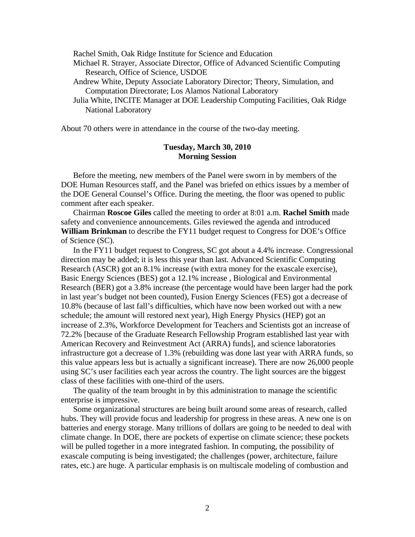Rachel Smith, Oak Ridge Institute for Science and Education

- Michael R. Strayer, Associate Director, Office of Advanced Scientific Computing Research, Office of Science, USDOE
- Andrew White, Deputy Associate Laboratory Director; Theory, Simulation, and Computation Directorate; Los Alamos National Laboratory
- Julia White, INCITE Manager at DOE Leadership Computing Facilities, Oak Ridge National Laboratory

About 70 others were in attendance in the course of the two-day meeting.

## **Tuesday, March 30, 2010 Morning Session**

 Before the meeting, new members of the Panel were sworn in by members of the DOE Human Resources staff, and the Panel was briefed on ethics issues by a member of the DOE General Counsel's Office. During the meeting, the floor was opened to public comment after each speaker.

 Chairman **Roscoe Giles** called the meeting to order at 8:01 a.m. **Rachel Smith** made safety and convenience announcements. Giles reviewed the agenda and introduced **William Brinkman** to describe the FY11 budget request to Congress for DOE's Office of Science (SC).

 In the FY11 budget request to Congress, SC got about a 4.4% increase. Congressional direction may be added; it is less this year than last. Advanced Scientific Computing Research (ASCR) got an 8.1% increase (with extra money for the exascale exercise), Basic Energy Sciences (BES) got a 12.1% increase , Biological and Environmental Research (BER) got a 3.8% increase (the percentage would have been larger had the pork in last year's budget not been counted), Fusion Energy Sciences (FES) got a decrease of 10.8% (because of last fall's difficulties, which have now been worked out with a new schedule; the amount will restored next year), High Energy Physics (HEP) got an increase of 2.3%, Workforce Development for Teachers and Scientists got an increase of 72.2% [because of the Graduate Research Fellowship Program established last year with American Recovery and Reinvestment Act (ARRA) funds], and science laboratories infrastructure got a decrease of 1.3% (rebuilding was done last year with ARRA funds, so this value appears less but is actually a significant increase). There are now 26,000 people using SC's user facilities each year across the country. The light sources are the biggest class of these facilities with one-third of the users.

 The quality of the team brought in by this administration to manage the scientific enterprise is impressive.

 Some organizational structures are being built around some areas of research, called hubs. They will provide focus and leadership for progress in these areas. A new one is on batteries and energy storage. Many trillions of dollars are going to be needed to deal with climate change. In DOE, there are pockets of expertise on climate science; these pockets will be pulled together in a more integrated fashion. In computing, the possibility of exascale computing is being investigated; the challenges (power, architecture, failure rates, etc.) are huge. A particular emphasis is on multiscale modeling of combustion and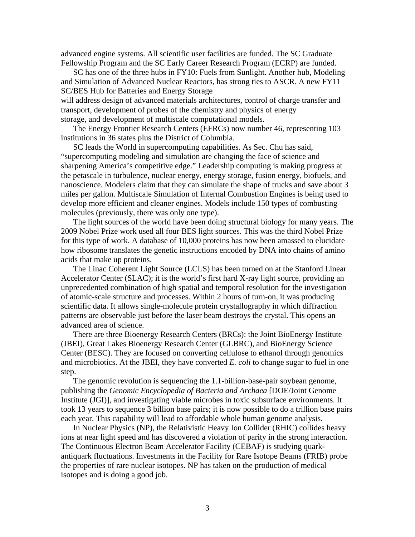advanced engine systems. All scientific user facilities are funded. The SC Graduate Fellowship Program and the SC Early Career Research Program (ECRP) are funded.

 SC has one of the three hubs in FY10: Fuels from Sunlight. Another hub, Modeling and Simulation of Advanced Nuclear Reactors, has strong ties to ASCR. A new FY11 SC/BES Hub for Batteries and Energy Storage

will address design of advanced materials architectures, control of charge transfer and transport, development of probes of the chemistry and physics of energy storage, and development of multiscale computational models.

 The Energy Frontier Research Centers (EFRCs) now number 46, representing 103 institutions in 36 states plus the District of Columbia.

 SC leads the World in supercomputing capabilities. As Sec. Chu has said, "supercomputing modeling and simulation are changing the face of science and sharpening America's competitive edge." Leadership computing is making progress at the petascale in turbulence, nuclear energy, energy storage, fusion energy, biofuels, and nanoscience. Modelers claim that they can simulate the shape of trucks and save about 3 miles per gallon. Multiscale Simulation of Internal Combustion Engines is being used to develop more efficient and cleaner engines. Models include 150 types of combusting molecules (previously, there was only one type).

 The light sources of the world have been doing structural biology for many years. The 2009 Nobel Prize work used all four BES light sources. This was the third Nobel Prize for this type of work. A database of 10,000 proteins has now been amassed to elucidate how ribosome translates the genetic instructions encoded by DNA into chains of amino acids that make up proteins.

 The Linac Coherent Light Source (LCLS) has been turned on at the Stanford Linear Accelerator Center (SLAC); it is the world's first hard X-ray light source, providing an unprecedented combination of high spatial and temporal resolution for the investigation of atomic-scale structure and processes. Within 2 hours of turn-on, it was producing scientific data. It allows single-molecule protein crystallography in which diffraction patterns are observable just before the laser beam destroys the crystal. This opens an advanced area of science.

 There are three Bioenergy Research Centers (BRCs): the Joint BioEnergy Institute (JBEI), Great Lakes Bioenergy Research Center (GLBRC), and BioEnergy Science Center (BESC). They are focused on converting cellulose to ethanol through genomics and microbiotics. At the JBEI, they have converted *E. coli* to change sugar to fuel in one step.

 The genomic revolution is sequencing the 1.1-billion-base-pair soybean genome, publishing the *Genomic Encyclopedia of Bacteria and Archaea* [DOE/Joint Genome Institute (JGI)], and investigating viable microbes in toxic subsurface environments. It took 13 years to sequence 3 billion base pairs; it is now possible to do a trillion base pairs each year. This capability will lead to affordable whole human genome analysis.

 In Nuclear Physics (NP), the Relativistic Heavy Ion Collider (RHIC) collides heavy ions at near light speed and has discovered a violation of parity in the strong interaction. The Continuous Electron Beam Accelerator Facility (CEBAF) is studying quarkantiquark fluctuations. Investments in the Facility for Rare Isotope Beams (FRIB) probe the properties of rare nuclear isotopes. NP has taken on the production of medical isotopes and is doing a good job.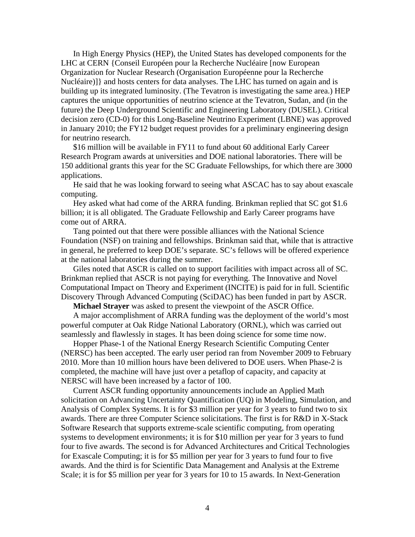In High Energy Physics (HEP), the United States has developed components for the LHC at CERN {Conseil Européen pour la Recherche Nucléaire [now European Organization for Nuclear Research (Organisation Européenne pour la Recherche Nucléaire)]} and hosts centers for data analyses. The LHC has turned on again and is building up its integrated luminosity. (The Tevatron is investigating the same area.) HEP captures the unique opportunities of neutrino science at the Tevatron, Sudan, and (in the future) the Deep Underground Scientific and Engineering Laboratory (DUSEL). Critical decision zero (CD-0) for this Long-Baseline Neutrino Experiment (LBNE) was approved in January 2010; the FY12 budget request provides for a preliminary engineering design for neutrino research.

 \$16 million will be available in FY11 to fund about 60 additional Early Career Research Program awards at universities and DOE national laboratories. There will be 150 additional grants this year for the SC Graduate Fellowships, for which there are 3000 applications.

 He said that he was looking forward to seeing what ASCAC has to say about exascale computing.

 Hey asked what had come of the ARRA funding. Brinkman replied that SC got \$1.6 billion; it is all obligated. The Graduate Fellowship and Early Career programs have come out of ARRA.

 Tang pointed out that there were possible alliances with the National Science Foundation (NSF) on training and fellowships. Brinkman said that, while that is attractive in general, he preferred to keep DOE's separate. SC's fellows will be offered experience at the national laboratories during the summer.

 Giles noted that ASCR is called on to support facilities with impact across all of SC. Brinkman replied that ASCR is not paying for everything. The Innovative and Novel Computational Impact on Theory and Experiment (INCITE) is paid for in full. Scientific Discovery Through Advanced Computing (SciDAC) has been funded in part by ASCR.

**Michael Strayer** was asked to present the viewpoint of the ASCR Office.

 A major accomplishment of ARRA funding was the deployment of the world's most powerful computer at Oak Ridge National Laboratory (ORNL), which was carried out seamlessly and flawlessly in stages. It has been doing science for some time now.

 Hopper Phase-1 of the National Energy Research Scientific Computing Center (NERSC) has been accepted. The early user period ran from November 2009 to February 2010. More than 10 million hours have been delivered to DOE users. When Phase-2 is completed, the machine will have just over a petaflop of capacity, and capacity at NERSC will have been increased by a factor of 100.

 Current ASCR funding opportunity announcements include an Applied Math solicitation on Advancing Uncertainty Quantification (UQ) in Modeling, Simulation, and Analysis of Complex Systems. It is for \$3 million per year for 3 years to fund two to six awards. There are three Computer Science solicitations. The first is for R&D in X-Stack Software Research that supports extreme-scale scientific computing, from operating systems to development environments; it is for \$10 million per year for 3 years to fund four to five awards. The second is for Advanced Architectures and Critical Technologies for Exascale Computing; it is for \$5 million per year for 3 years to fund four to five awards. And the third is for Scientific Data Management and Analysis at the Extreme Scale; it is for \$5 million per year for 3 years for 10 to 15 awards. In Next-Generation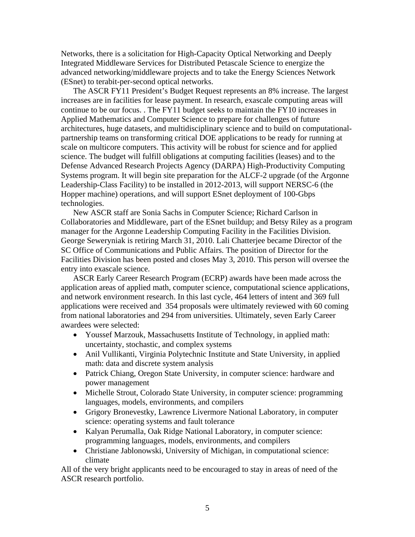Networks, there is a solicitation for High-Capacity Optical Networking and Deeply Integrated Middleware Services for Distributed Petascale Science to energize the advanced networking/middleware projects and to take the Energy Sciences Network (ESnet) to terabit-per-second optical networks.

 The ASCR FY11 President's Budget Request represents an 8% increase. The largest increases are in facilities for lease payment. In research, exascale computing areas will continue to be our focus. . The FY11 budget seeks to maintain the FY10 increases in Applied Mathematics and Computer Science to prepare for challenges of future architectures, huge datasets, and multidisciplinary science and to build on computationalpartnership teams on transforming critical DOE applications to be ready for running at scale on multicore computers. This activity will be robust for science and for applied science. The budget will fulfill obligations at computing facilities (leases) and to the Defense Advanced Research Projects Agency (DARPA) High-Productivity Computing Systems program. It will begin site preparation for the ALCF-2 upgrade (of the Argonne Leadership-Class Facility) to be installed in 2012-2013, will support NERSC-6 (the Hopper machine) operations, and will support ESnet deployment of 100-Gbps technologies.

 New ASCR staff are Sonia Sachs in Computer Science; Richard Carlson in Collaboratories and Middleware, part of the ESnet buildup; and Betsy Riley as a program manager for the Argonne Leadership Computing Facility in the Facilities Division. George Seweryniak is retiring March 31, 2010. Lali Chatterjee became Director of the SC Office of Communications and Public Affairs. The position of Director for the Facilities Division has been posted and closes May 3, 2010. This person will oversee the entry into exascale science.

 ASCR Early Career Research Program (ECRP) awards have been made across the application areas of applied math, computer science, computational science applications, and network environment research. In this last cycle, 464 letters of intent and 369 full applications were received and 354 proposals were ultimately reviewed with 60 coming from national laboratories and 294 from universities. Ultimately, seven Early Career awardees were selected:

- Youssef Marzouk, Massachusetts Institute of Technology, in applied math: uncertainty, stochastic, and complex systems
- Anil Vullikanti, Virginia Polytechnic Institute and State University, in applied math: data and discrete system analysis
- Patrick Chiang, Oregon State University, in computer science: hardware and power management
- Michelle Strout, Colorado State University, in computer science: programming languages, models, environments, and compilers
- Grigory Bronevestky, Lawrence Livermore National Laboratory, in computer science: operating systems and fault tolerance
- Kalyan Perumalla, Oak Ridge National Laboratory, in computer science: programming languages, models, environments, and compilers
- Christiane Jablonowski, University of Michigan, in computational science: climate

All of the very bright applicants need to be encouraged to stay in areas of need of the ASCR research portfolio.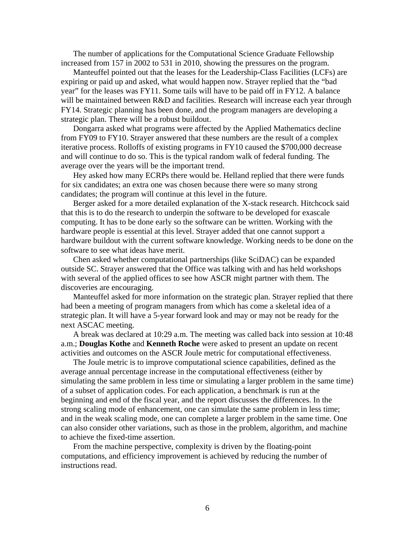The number of applications for the Computational Science Graduate Fellowship increased from 157 in 2002 to 531 in 2010, showing the pressures on the program.

 Manteuffel pointed out that the leases for the Leadership-Class Facilities (LCFs) are expiring or paid up and asked, what would happen now. Strayer replied that the "bad year" for the leases was FY11. Some tails will have to be paid off in FY12. A balance will be maintained between R&D and facilities. Research will increase each year through FY14. Strategic planning has been done, and the program managers are developing a strategic plan. There will be a robust buildout.

 Dongarra asked what programs were affected by the Applied Mathematics decline from FY09 to FY10. Strayer answered that these numbers are the result of a complex iterative process. Rolloffs of existing programs in FY10 caused the \$700,000 decrease and will continue to do so. This is the typical random walk of federal funding. The average over the years will be the important trend.

 Hey asked how many ECRPs there would be. Helland replied that there were funds for six candidates; an extra one was chosen because there were so many strong candidates; the program will continue at this level in the future.

 Berger asked for a more detailed explanation of the X-stack research. Hitchcock said that this is to do the research to underpin the software to be developed for exascale computing. It has to be done early so the software can be written. Working with the hardware people is essential at this level. Strayer added that one cannot support a hardware buildout with the current software knowledge. Working needs to be done on the software to see what ideas have merit.

 Chen asked whether computational partnerships (like SciDAC) can be expanded outside SC. Strayer answered that the Office was talking with and has held workshops with several of the applied offices to see how ASCR might partner with them. The discoveries are encouraging.

 Manteuffel asked for more information on the strategic plan. Strayer replied that there had been a meeting of program managers from which has come a skeletal idea of a strategic plan. It will have a 5-year forward look and may or may not be ready for the next ASCAC meeting.

 A break was declared at 10:29 a.m. The meeting was called back into session at 10:48 a.m.; **Douglas Kothe** and **Kenneth Roche** were asked to present an update on recent activities and outcomes on the ASCR Joule metric for computational effectiveness.

 The Joule metric is to improve computational science capabilities, defined as the average annual percentage increase in the computational effectiveness (either by simulating the same problem in less time or simulating a larger problem in the same time) of a subset of application codes. For each application, a benchmark is run at the beginning and end of the fiscal year, and the report discusses the differences. In the strong scaling mode of enhancement, one can simulate the same problem in less time; and in the weak scaling mode, one can complete a larger problem in the same time. One can also consider other variations, such as those in the problem, algorithm, and machine to achieve the fixed-time assertion.

 From the machine perspective, complexity is driven by the floating-point computations, and efficiency improvement is achieved by reducing the number of instructions read.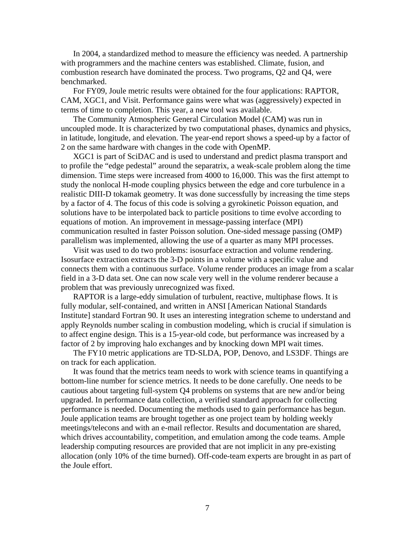In 2004, a standardized method to measure the efficiency was needed. A partnership with programmers and the machine centers was established. Climate, fusion, and combustion research have dominated the process. Two programs, Q2 and Q4, were benchmarked.

 For FY09, Joule metric results were obtained for the four applications: RAPTOR, CAM, XGC1, and Visit. Performance gains were what was (aggressively) expected in terms of time to completion. This year, a new tool was available.

 The Community Atmospheric General Circulation Model (CAM) was run in uncoupled mode. It is characterized by two computational phases, dynamics and physics, in latitude, longitude, and elevation. The year-end report shows a speed-up by a factor of 2 on the same hardware with changes in the code with OpenMP.

 XGC1 is part of SciDAC and is used to understand and predict plasma transport and to profile the "edge pedestal" around the separatrix, a weak-scale problem along the time dimension. Time steps were increased from 4000 to 16,000. This was the first attempt to study the nonlocal H-mode coupling physics between the edge and core turbulence in a realistic DIII-D tokamak geometry. It was done successfully by increasing the time steps by a factor of 4. The focus of this code is solving a gyrokinetic Poisson equation, and solutions have to be interpolated back to particle positions to time evolve according to equations of motion. An improvement in message-passing interface (MPI) communication resulted in faster Poisson solution. One-sided message passing (OMP) parallelism was implemented, allowing the use of a quarter as many MPI processes.

 Visit was used to do two problems: isosurface extraction and volume rendering. Isosurface extraction extracts the 3-D points in a volume with a specific value and connects them with a continuous surface. Volume render produces an image from a scalar field in a 3-D data set. One can now scale very well in the volume renderer because a problem that was previously unrecognized was fixed.

 RAPTOR is a large-eddy simulation of turbulent, reactive, multiphase flows. It is fully modular, self-contained, and written in ANSI [American National Standards Institute] standard Fortran 90. It uses an interesting integration scheme to understand and apply Reynolds number scaling in combustion modeling, which is crucial if simulation is to affect engine design. This is a 15-year-old code, but performance was increased by a factor of 2 by improving halo exchanges and by knocking down MPI wait times.

 The FY10 metric applications are TD-SLDA, POP, Denovo, and LS3DF. Things are on track for each application.

 It was found that the metrics team needs to work with science teams in quantifying a bottom-line number for science metrics. It needs to be done carefully. One needs to be cautious about targeting full-system Q4 problems on systems that are new and/or being upgraded. In performance data collection, a verified standard approach for collecting performance is needed. Documenting the methods used to gain performance has begun. Joule application teams are brought together as one project team by holding weekly meetings/telecons and with an e-mail reflector. Results and documentation are shared, which drives accountability, competition, and emulation among the code teams. Ample leadership computing resources are provided that are not implicit in any pre-existing allocation (only 10% of the time burned). Off-code-team experts are brought in as part of the Joule effort.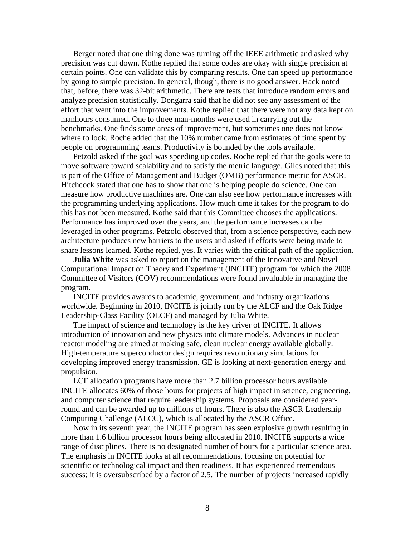Berger noted that one thing done was turning off the IEEE arithmetic and asked why precision was cut down. Kothe replied that some codes are okay with single precision at certain points. One can validate this by comparing results. One can speed up performance by going to simple precision. In general, though, there is no good answer. Hack noted that, before, there was 32-bit arithmetic. There are tests that introduce random errors and analyze precision statistically. Dongarra said that he did not see any assessment of the effort that went into the improvements. Kothe replied that there were not any data kept on manhours consumed. One to three man-months were used in carrying out the benchmarks. One finds some areas of improvement, but sometimes one does not know where to look. Roche added that the 10% number came from estimates of time spent by people on programming teams. Productivity is bounded by the tools available.

 Petzold asked if the goal was speeding up codes. Roche replied that the goals were to move software toward scalability and to satisfy the metric language. Giles noted that this is part of the Office of Management and Budget (OMB) performance metric for ASCR. Hitchcock stated that one has to show that one is helping people do science. One can measure how productive machines are. One can also see how performance increases with the programming underlying applications. How much time it takes for the program to do this has not been measured. Kothe said that this Committee chooses the applications. Performance has improved over the years, and the performance increases can be leveraged in other programs. Petzold observed that, from a science perspective, each new architecture produces new barriers to the users and asked if efforts were being made to share lessons learned. Kothe replied, yes. It varies with the critical path of the application.

**Julia White** was asked to report on the management of the Innovative and Novel Computational Impact on Theory and Experiment (INCITE) program for which the 2008 Committee of Visitors (COV) recommendations were found invaluable in managing the program.

 INCITE provides awards to academic, government, and industry organizations worldwide. Beginning in 2010, INCITE is jointly run by the ALCF and the Oak Ridge Leadership-Class Facility (OLCF) and managed by Julia White.

 The impact of science and technology is the key driver of INCITE. It allows introduction of innovation and new physics into climate models. Advances in nuclear reactor modeling are aimed at making safe, clean nuclear energy available globally. High-temperature superconductor design requires revolutionary simulations for developing improved energy transmission. GE is looking at next-generation energy and propulsion.

 LCF allocation programs have more than 2.7 billion processor hours available. INCITE allocates 60% of those hours for projects of high impact in science, engineering, and computer science that require leadership systems. Proposals are considered yearround and can be awarded up to millions of hours. There is also the ASCR Leadership Computing Challenge (ALCC), which is allocated by the ASCR Office.

 Now in its seventh year, the INCITE program has seen explosive growth resulting in more than 1.6 billion processor hours being allocated in 2010. INCITE supports a wide range of disciplines. There is no designated number of hours for a particular science area. The emphasis in INCITE looks at all recommendations, focusing on potential for scientific or technological impact and then readiness. It has experienced tremendous success; it is oversubscribed by a factor of 2.5. The number of projects increased rapidly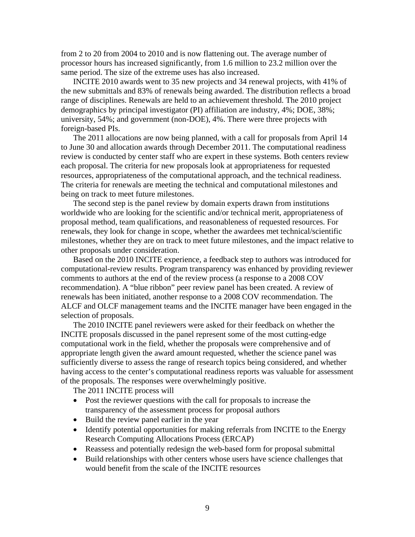from 2 to 20 from 2004 to 2010 and is now flattening out. The average number of processor hours has increased significantly, from 1.6 million to 23.2 million over the same period. The size of the extreme uses has also increased.

 INCITE 2010 awards went to 35 new projects and 34 renewal projects, with 41% of the new submittals and 83% of renewals being awarded. The distribution reflects a broad range of disciplines. Renewals are held to an achievement threshold. The 2010 project demographics by principal investigator (PI) affiliation are industry, 4%; DOE, 38%; university, 54%; and government (non-DOE), 4%. There were three projects with foreign-based PIs.

 The 2011 allocations are now being planned, with a call for proposals from April 14 to June 30 and allocation awards through December 2011. The computational readiness review is conducted by center staff who are expert in these systems. Both centers review each proposal. The criteria for new proposals look at appropriateness for requested resources, appropriateness of the computational approach, and the technical readiness. The criteria for renewals are meeting the technical and computational milestones and being on track to meet future milestones.

 The second step is the panel review by domain experts drawn from institutions worldwide who are looking for the scientific and/or technical merit, appropriateness of proposal method, team qualifications, and reasonableness of requested resources. For renewals, they look for change in scope, whether the awardees met technical/scientific milestones, whether they are on track to meet future milestones, and the impact relative to other proposals under consideration.

 Based on the 2010 INCITE experience, a feedback step to authors was introduced for computational-review results. Program transparency was enhanced by providing reviewer comments to authors at the end of the review process (a response to a 2008 COV recommendation). A "blue ribbon" peer review panel has been created. A review of renewals has been initiated, another response to a 2008 COV recommendation. The ALCF and OLCF management teams and the INCITE manager have been engaged in the selection of proposals.

 The 2010 INCITE panel reviewers were asked for their feedback on whether the INCITE proposals discussed in the panel represent some of the most cutting-edge computational work in the field, whether the proposals were comprehensive and of appropriate length given the award amount requested, whether the science panel was sufficiently diverse to assess the range of research topics being considered, and whether having access to the center's computational readiness reports was valuable for assessment of the proposals. The responses were overwhelmingly positive.

The 2011 INCITE process will

- Post the reviewer questions with the call for proposals to increase the transparency of the assessment process for proposal authors
- Build the review panel earlier in the year
- Identify potential opportunities for making referrals from INCITE to the Energy Research Computing Allocations Process (ERCAP)
- Reassess and potentially redesign the web-based form for proposal submittal
- Build relationships with other centers whose users have science challenges that would benefit from the scale of the INCITE resources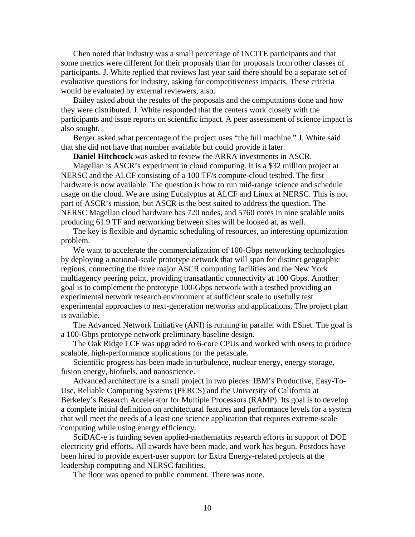Chen noted that industry was a small percentage of INCITE participants and that some metrics were different for their proposals than for proposals from other classes of participants. J. White replied that reviews last year said there should be a separate set of evaluative questions for industry, asking for competitiveness impacts. These criteria would be evaluated by external reviewers, also.

 Bailey asked about the results of the proposals and the computations done and how they were distributed. J. White responded that the centers work closely with the participants and issue reports on scientific impact. A peer assessment of science impact is also sought.

 Berger asked what percentage of the project uses "the full machine." J. White said that she did not have that number available but could provide it later.

**Daniel Hitchcock** was asked to review the ARRA investments in ASCR.

 Magellan is ASCR's experiment in cloud computing. It is a \$32 million project at NERSC and the ALCF consisting of a 100 TF/s compute-cloud testbed. The first hardware is now available. The question is how to run mid-range science and schedule usage on the cloud. We are using Eucalyptus at ALCF and Linux at NERSC. This is not part of ASCR's mission, but ASCR is the best suited to address the question. The NERSC Magellan cloud hardware has 720 nodes, and 5760 cores in nine scalable units producing 61.9 TF and networking between sites will be looked at, as well.

 The key is flexible and dynamic scheduling of resources, an interesting optimization problem.

We want to accelerate the commercialization of 100-Gbps networking technologies by deploying a national-scale prototype network that will span for distinct geographic regions, connecting the three major ASCR computing facilities and the New York multiagency peering point, providing transatlantic connectivity at 100 Gbps. Another goal is to complement the prototype 100-Gbps network with a testbed providing an experimental network research environment at sufficient scale to usefully test experimental approaches to next-generation networks and applications. The project plan is available.

 The Advanced Network Initiative (ANI) is running in parallel with ESnet. The goal is a 100-Gbps prototype network preliminary baseline design.

 The Oak Ridge LCF was upgraded to 6-core CPUs and worked with users to produce scalable, high-performance applications for the petascale.

 Scientific progress has been made in turbulence, nuclear energy, energy storage, fusion energy, biofuels, and nanoscience.

 Advanced architecture is a small project in two pieces: IBM's Productive, Easy-To-Use, Reliable Computing Systems (PERCS) and the University of California at Berkeley's Research Accelerator for Multiple Processors (RAMP). Its goal is to develop a complete initial definition on architectural features and performance levels for a system that will meet the needs of a least one science application that requires extreme-scale computing while using energy efficiency.

 SciDAC-e is funding seven applied-mathematics research efforts in support of DOE electricity grid efforts. All awards have been made, and work has begun. Postdocs have been hired to provide expert-user support for Extra Energy-related projects at the leadership computing and NERSC facilities.

The floor was opened to public comment. There was none.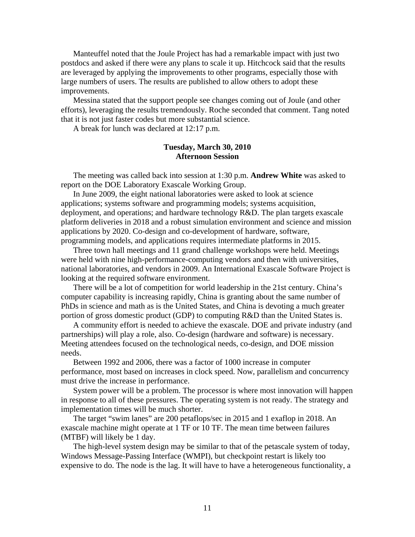Manteuffel noted that the Joule Project has had a remarkable impact with just two postdocs and asked if there were any plans to scale it up. Hitchcock said that the results are leveraged by applying the improvements to other programs, especially those with large numbers of users. The results are published to allow others to adopt these improvements.

 Messina stated that the support people see changes coming out of Joule (and other efforts), leveraging the results tremendously. Roche seconded that comment. Tang noted that it is not just faster codes but more substantial science.

A break for lunch was declared at 12:17 p.m.

## **Tuesday, March 30, 2010 Afternoon Session**

 The meeting was called back into session at 1:30 p.m. **Andrew White** was asked to report on the DOE Laboratory Exascale Working Group.

 In June 2009, the eight national laboratories were asked to look at science applications; systems software and programming models; systems acquisition, deployment, and operations; and hardware technology R&D. The plan targets exascale platform deliveries in 2018 and a robust simulation environment and science and mission applications by 2020. Co-design and co-development of hardware, software, programming models, and applications requires intermediate platforms in 2015.

 Three town hall meetings and 11 grand challenge workshops were held. Meetings were held with nine high-performance-computing vendors and then with universities, national laboratories, and vendors in 2009. An International Exascale Software Project is looking at the required software environment.

 There will be a lot of competition for world leadership in the 21st century. China's computer capability is increasing rapidly, China is granting about the same number of PhDs in science and math as is the United States, and China is devoting a much greater portion of gross domestic product (GDP) to computing R&D than the United States is.

 A community effort is needed to achieve the exascale. DOE and private industry (and partnerships) will play a role, also. Co-design (hardware and software) is necessary. Meeting attendees focused on the technological needs, co-design, and DOE mission needs.

 Between 1992 and 2006, there was a factor of 1000 increase in computer performance, most based on increases in clock speed. Now, parallelism and concurrency must drive the increase in performance.

 System power will be a problem. The processor is where most innovation will happen in response to all of these pressures. The operating system is not ready. The strategy and implementation times will be much shorter.

 The target "swim lanes" are 200 petaflops/sec in 2015 and 1 exaflop in 2018. An exascale machine might operate at 1 TF or 10 TF. The mean time between failures (MTBF) will likely be 1 day.

 The high-level system design may be similar to that of the petascale system of today, Windows Message-Passing Interface (WMPI), but checkpoint restart is likely too expensive to do. The node is the lag. It will have to have a heterogeneous functionality, a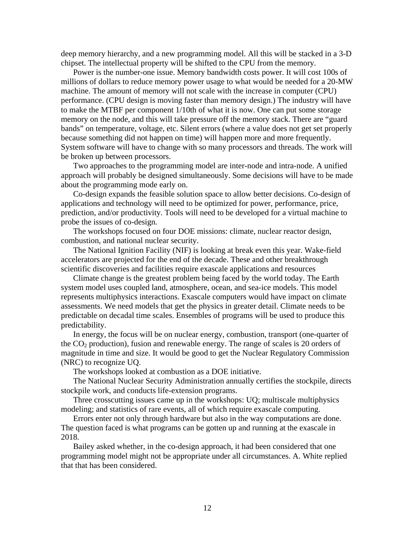deep memory hierarchy, and a new programming model. All this will be stacked in a 3-D chipset. The intellectual property will be shifted to the CPU from the memory.

 Power is the number-one issue. Memory bandwidth costs power. It will cost 100s of millions of dollars to reduce memory power usage to what would be needed for a 20-MW machine. The amount of memory will not scale with the increase in computer (CPU) performance. (CPU design is moving faster than memory design.) The industry will have to make the MTBF per component 1/10th of what it is now. One can put some storage memory on the node, and this will take pressure off the memory stack. There are "guard bands" on temperature, voltage, etc. Silent errors (where a value does not get set properly because something did not happen on time) will happen more and more frequently. System software will have to change with so many processors and threads. The work will be broken up between processors.

 Two approaches to the programming model are inter-node and intra-node. A unified approach will probably be designed simultaneously. Some decisions will have to be made about the programming mode early on.

 Co-design expands the feasible solution space to allow better decisions. Co-design of applications and technology will need to be optimized for power, performance, price, prediction, and/or productivity. Tools will need to be developed for a virtual machine to probe the issues of co-design.

 The workshops focused on four DOE missions: climate, nuclear reactor design, combustion, and national nuclear security.

 The National Ignition Facility (NIF) is looking at break even this year. Wake-field accelerators are projected for the end of the decade. These and other breakthrough scientific discoveries and facilities require exascale applications and resources

 Climate change is the greatest problem being faced by the world today. The Earth system model uses coupled land, atmosphere, ocean, and sea-ice models. This model represents multiphysics interactions. Exascale computers would have impact on climate assessments. We need models that get the physics in greater detail. Climate needs to be predictable on decadal time scales. Ensembles of programs will be used to produce this predictability.

 In energy, the focus will be on nuclear energy, combustion, transport (one-quarter of the  $CO<sub>2</sub>$  production), fusion and renewable energy. The range of scales is 20 orders of magnitude in time and size. It would be good to get the Nuclear Regulatory Commission (NRC) to recognize UQ.

The workshops looked at combustion as a DOE initiative.

 The National Nuclear Security Administration annually certifies the stockpile, directs stockpile work, and conducts life-extension programs.

 Three crosscutting issues came up in the workshops: UQ; multiscale multiphysics modeling; and statistics of rare events, all of which require exascale computing.

 Errors enter not only through hardware but also in the way computations are done. The question faced is what programs can be gotten up and running at the exascale in 2018.

 Bailey asked whether, in the co-design approach, it had been considered that one programming model might not be appropriate under all circumstances. A. White replied that that has been considered.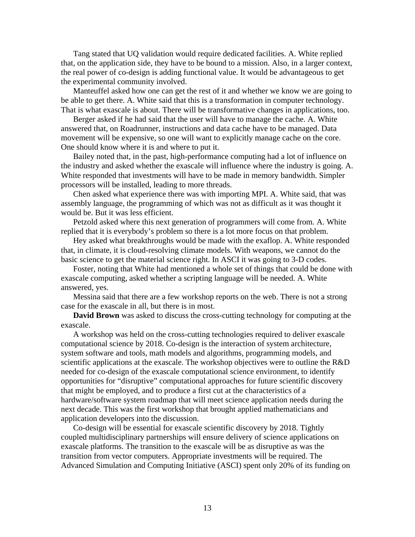Tang stated that UQ validation would require dedicated facilities. A. White replied that, on the application side, they have to be bound to a mission. Also, in a larger context, the real power of co-design is adding functional value. It would be advantageous to get the experimental community involved.

 Manteuffel asked how one can get the rest of it and whether we know we are going to be able to get there. A. White said that this is a transformation in computer technology. That is what exascale is about. There will be transformative changes in applications, too.

 Berger asked if he had said that the user will have to manage the cache. A. White answered that, on Roadrunner, instructions and data cache have to be managed. Data movement will be expensive, so one will want to explicitly manage cache on the core. One should know where it is and where to put it.

 Bailey noted that, in the past, high-performance computing had a lot of influence on the industry and asked whether the exascale will influence where the industry is going. A. White responded that investments will have to be made in memory bandwidth. Simpler processors will be installed, leading to more threads.

 Chen asked what experience there was with importing MPI. A. White said, that was assembly language, the programming of which was not as difficult as it was thought it would be. But it was less efficient.

 Petzold asked where this next generation of programmers will come from. A. White replied that it is everybody's problem so there is a lot more focus on that problem.

 Hey asked what breakthroughs would be made with the exaflop. A. White responded that, in climate, it is cloud-resolving climate models. With weapons, we cannot do the basic science to get the material science right. In ASCI it was going to 3-D codes.

 Foster, noting that White had mentioned a whole set of things that could be done with exascale computing, asked whether a scripting language will be needed. A. White answered, yes.

 Messina said that there are a few workshop reports on the web. There is not a strong case for the exascale in all, but there is in most.

**David Brown** was asked to discuss the cross-cutting technology for computing at the exascale.

 A workshop was held on the cross-cutting technologies required to deliver exascale computational science by 2018. Co-design is the interaction of system architecture, system software and tools, math models and algorithms, programming models, and scientific applications at the exascale. The workshop objectives were to outline the R&D needed for co-design of the exascale computational science environment, to identify opportunities for "disruptive" computational approaches for future scientific discovery that might be employed, and to produce a first cut at the characteristics of a hardware/software system roadmap that will meet science application needs during the next decade. This was the first workshop that brought applied mathematicians and application developers into the discussion.

 Co-design will be essential for exascale scientific discovery by 2018. Tightly coupled multidisciplinary partnerships will ensure delivery of science applications on exascale platforms. The transition to the exascale will be as disruptive as was the transition from vector computers. Appropriate investments will be required. The Advanced Simulation and Computing Initiative (ASCI) spent only 20% of its funding on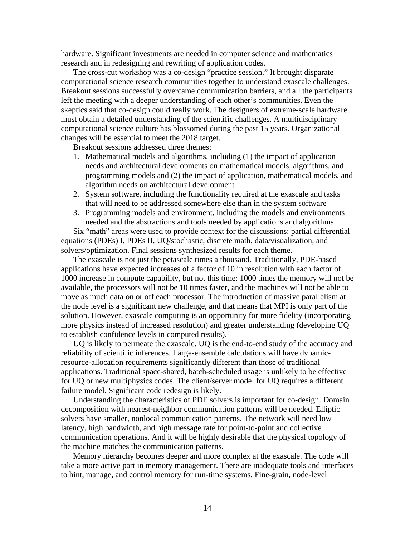hardware. Significant investments are needed in computer science and mathematics research and in redesigning and rewriting of application codes.

 The cross-cut workshop was a co-design "practice session." It brought disparate computational science research communities together to understand exascale challenges. Breakout sessions successfully overcame communication barriers, and all the participants left the meeting with a deeper understanding of each other's communities. Even the skeptics said that co-design could really work. The designers of extreme-scale hardware must obtain a detailed understanding of the scientific challenges. A multidisciplinary computational science culture has blossomed during the past 15 years. Organizational changes will be essential to meet the 2018 target.

Breakout sessions addressed three themes:

- 1. Mathematical models and algorithms, including (1) the impact of application needs and architectural developments on mathematical models, algorithms, and programming models and (2) the impact of application, mathematical models, and algorithm needs on architectural development
- 2. System software, including the functionality required at the exascale and tasks that will need to be addressed somewhere else than in the system software
- 3. Programming models and environment, including the models and environments needed and the abstractions and tools needed by applications and algorithms

Six "math" areas were used to provide context for the discussions: partial differential equations (PDEs) I, PDEs II, UQ/stochastic, discrete math, data/visualization, and solvers/optimization. Final sessions synthesized results for each theme.

The exascale is not just the petascale times a thousand. Traditionally, PDE-based applications have expected increases of a factor of 10 in resolution with each factor of 1000 increase in compute capability, but not this time: 1000 times the memory will not be available, the processors will not be 10 times faster, and the machines will not be able to move as much data on or off each processor. The introduction of massive parallelism at the node level is a significant new challenge, and that means that MPI is only part of the solution. However, exascale computing is an opportunity for more fidelity (incorporating more physics instead of increased resolution) and greater understanding (developing UQ to establish confidence levels in computed results).

UQ is likely to permeate the exascale. UQ is the end-to-end study of the accuracy and reliability of scientific inferences. Large-ensemble calculations will have dynamicresource-allocation requirements significantly different than those of traditional applications. Traditional space-shared, batch-scheduled usage is unlikely to be effective for UQ or new multiphysics codes. The client/server model for UQ requires a different failure model. Significant code redesign is likely.

Understanding the characteristics of PDE solvers is important for co-design. Domain decomposition with nearest-neighbor communication patterns will be needed. Elliptic solvers have smaller, nonlocal communication patterns. The network will need low latency, high bandwidth, and high message rate for point-to-point and collective communication operations. And it will be highly desirable that the physical topology of the machine matches the communication patterns.

Memory hierarchy becomes deeper and more complex at the exascale. The code will take a more active part in memory management. There are inadequate tools and interfaces to hint, manage, and control memory for run-time systems. Fine-grain, node-level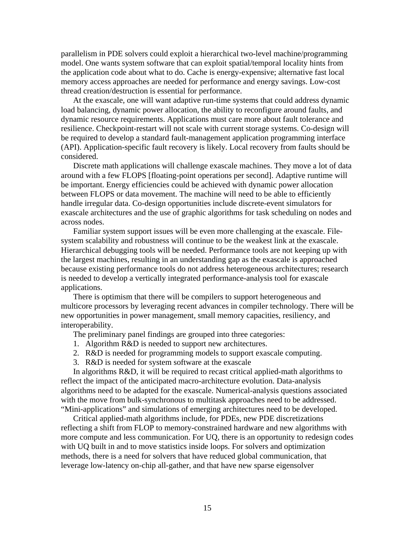parallelism in PDE solvers could exploit a hierarchical two-level machine/programming model. One wants system software that can exploit spatial/temporal locality hints from the application code about what to do. Cache is energy-expensive; alternative fast local memory access approaches are needed for performance and energy savings. Low-cost thread creation/destruction is essential for performance.

At the exascale, one will want adaptive run-time systems that could address dynamic load balancing, dynamic power allocation, the ability to reconfigure around faults, and dynamic resource requirements. Applications must care more about fault tolerance and resilience. Checkpoint-restart will not scale with current storage systems. Co-design will be required to develop a standard fault-management application programming interface (API). Application-specific fault recovery is likely. Local recovery from faults should be considered.

Discrete math applications will challenge exascale machines. They move a lot of data around with a few FLOPS [floating-point operations per second]. Adaptive runtime will be important. Energy efficiencies could be achieved with dynamic power allocation between FLOPS or data movement. The machine will need to be able to efficiently handle irregular data. Co-design opportunities include discrete-event simulators for exascale architectures and the use of graphic algorithms for task scheduling on nodes and across nodes.

Familiar system support issues will be even more challenging at the exascale. Filesystem scalability and robustness will continue to be the weakest link at the exascale. Hierarchical debugging tools will be needed. Performance tools are not keeping up with the largest machines, resulting in an understanding gap as the exascale is approached because existing performance tools do not address heterogeneous architectures; research is needed to develop a vertically integrated performance-analysis tool for exascale applications.

There is optimism that there will be compilers to support heterogeneous and multicore processors by leveraging recent advances in compiler technology. There will be new opportunities in power management, small memory capacities, resiliency, and interoperability.

The preliminary panel findings are grouped into three categories:

- 1. Algorithm R&D is needed to support new architectures.
- 2. R&D is needed for programming models to support exascale computing.
- 3. R&D is needed for system software at the exascale

In algorithms R&D, it will be required to recast critical applied-math algorithms to reflect the impact of the anticipated macro-architecture evolution. Data-analysis algorithms need to be adapted for the exascale. Numerical-analysis questions associated with the move from bulk-synchronous to multitask approaches need to be addressed. "Mini-applications" and simulations of emerging architectures need to be developed.

Critical applied-math algorithms include, for PDEs, new PDE discretizations reflecting a shift from FLOP to memory-constrained hardware and new algorithms with more compute and less communication. For UQ, there is an opportunity to redesign codes with UQ built in and to move statistics inside loops. For solvers and optimization methods, there is a need for solvers that have reduced global communication, that leverage low-latency on-chip all-gather, and that have new sparse eigensolver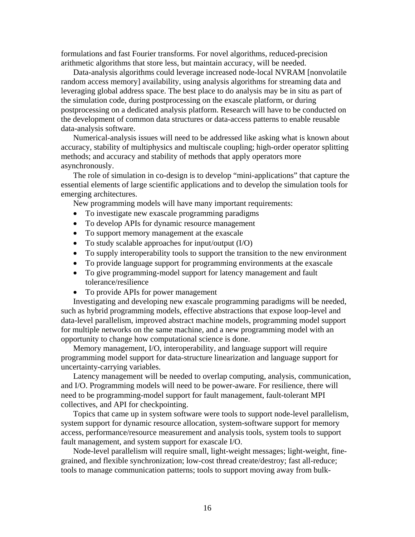formulations and fast Fourier transforms. For novel algorithms, reduced-precision arithmetic algorithms that store less, but maintain accuracy, will be needed.

Data-analysis algorithms could leverage increased node-local NVRAM [nonvolatile random access memory] availability, using analysis algorithms for streaming data and leveraging global address space. The best place to do analysis may be in situ as part of the simulation code, during postprocessing on the exascale platform, or during postprocessing on a dedicated analysis platform. Research will have to be conducted on the development of common data structures or data-access patterns to enable reusable data-analysis software.

Numerical-analysis issues will need to be addressed like asking what is known about accuracy, stability of multiphysics and multiscale coupling; high-order operator splitting methods; and accuracy and stability of methods that apply operators more asynchronously.

The role of simulation in co-design is to develop "mini-applications" that capture the essential elements of large scientific applications and to develop the simulation tools for emerging architectures.

New programming models will have many important requirements:

- To investigate new exascale programming paradigms
- To develop APIs for dynamic resource management
- To support memory management at the exascale
- To study scalable approaches for input/output (I/O)
- To supply interoperability tools to support the transition to the new environment
- To provide language support for programming environments at the exascale
- To give programming-model support for latency management and fault tolerance/resilience
- To provide APIs for power management

Investigating and developing new exascale programming paradigms will be needed, such as hybrid programming models, effective abstractions that expose loop-level and data-level parallelism, improved abstract machine models, programming model support for multiple networks on the same machine, and a new programming model with an opportunity to change how computational science is done.

Memory management, I/O, interoperability, and language support will require programming model support for data-structure linearization and language support for uncertainty-carrying variables.

Latency management will be needed to overlap computing, analysis, communication, and I/O. Programming models will need to be power-aware. For resilience, there will need to be programming-model support for fault management, fault-tolerant MPI collectives, and API for checkpointing.

Topics that came up in system software were tools to support node-level parallelism, system support for dynamic resource allocation, system-software support for memory access, performance/resource measurement and analysis tools, system tools to support fault management, and system support for exascale I/O.

Node-level parallelism will require small, light-weight messages; light-weight, finegrained, and flexible synchronization; low-cost thread create/destroy; fast all-reduce; tools to manage communication patterns; tools to support moving away from bulk-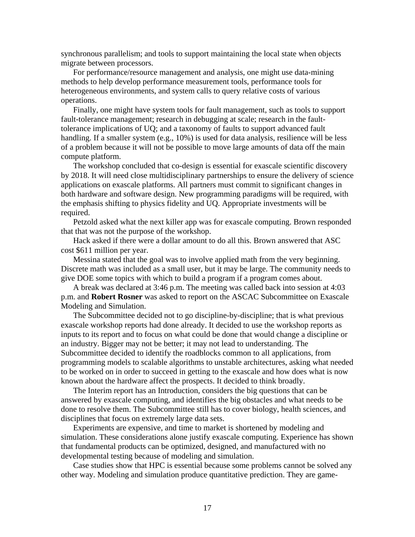synchronous parallelism; and tools to support maintaining the local state when objects migrate between processors.

For performance/resource management and analysis, one might use data-mining methods to help develop performance measurement tools, performance tools for heterogeneous environments, and system calls to query relative costs of various operations.

Finally, one might have system tools for fault management, such as tools to support fault-tolerance management; research in debugging at scale; research in the faulttolerance implications of UQ; and a taxonomy of faults to support advanced fault handling. If a smaller system (e.g., 10%) is used for data analysis, resilience will be less of a problem because it will not be possible to move large amounts of data off the main compute platform.

The workshop concluded that co-design is essential for exascale scientific discovery by 2018. It will need close multidisciplinary partnerships to ensure the delivery of science applications on exascale platforms. All partners must commit to significant changes in both hardware and software design. New programming paradigms will be required, with the emphasis shifting to physics fidelity and UQ. Appropriate investments will be required.

 Petzold asked what the next killer app was for exascale computing. Brown responded that that was not the purpose of the workshop.

 Hack asked if there were a dollar amount to do all this. Brown answered that ASC cost \$611 million per year.

 Messina stated that the goal was to involve applied math from the very beginning. Discrete math was included as a small user, but it may be large. The community needs to give DOE some topics with which to build a program if a program comes about.

 A break was declared at 3:46 p.m. The meeting was called back into session at 4:03 p.m. and **Robert Rosner** was asked to report on the ASCAC Subcommittee on Exascale Modeling and Simulation.

 The Subcommittee decided not to go discipline-by-discipline; that is what previous exascale workshop reports had done already. It decided to use the workshop reports as inputs to its report and to focus on what could be done that would change a discipline or an industry. Bigger may not be better; it may not lead to understanding. The Subcommittee decided to identify the roadblocks common to all applications, from programming models to scalable algorithms to unstable architectures, asking what needed to be worked on in order to succeed in getting to the exascale and how does what is now known about the hardware affect the prospects. It decided to think broadly.

 The Interim report has an Introduction, considers the big questions that can be answered by exascale computing, and identifies the big obstacles and what needs to be done to resolve them. The Subcommittee still has to cover biology, health sciences, and disciplines that focus on extremely large data sets.

 Experiments are expensive, and time to market is shortened by modeling and simulation. These considerations alone justify exascale computing. Experience has shown that fundamental products can be optimized, designed, and manufactured with no developmental testing because of modeling and simulation.

 Case studies show that HPC is essential because some problems cannot be solved any other way. Modeling and simulation produce quantitative prediction. They are game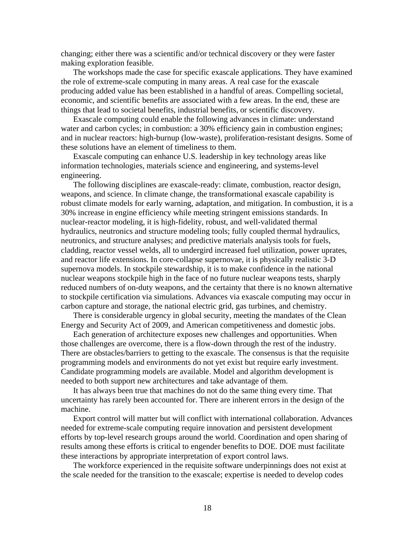changing; either there was a scientific and/or technical discovery or they were faster making exploration feasible.

 The workshops made the case for specific exascale applications. They have examined the role of extreme-scale computing in many areas. A real case for the exascale producing added value has been established in a handful of areas. Compelling societal, economic, and scientific benefits are associated with a few areas. In the end, these are things that lead to societal benefits, industrial benefits, or scientific discovery.

 Exascale computing could enable the following advances in climate: understand water and carbon cycles; in combustion: a 30% efficiency gain in combustion engines; and in nuclear reactors: high-burnup (low-waste), proliferation-resistant designs. Some of these solutions have an element of timeliness to them.

 Exascale computing can enhance U.S. leadership in key technology areas like information technologies, materials science and engineering, and systems-level engineering.

 The following disciplines are exascale-ready: climate, combustion, reactor design, weapons, and science. In climate change, the transformational exascale capability is robust climate models for early warning, adaptation, and mitigation. In combustion, it is a 30% increase in engine efficiency while meeting stringent emissions standards. In nuclear-reactor modeling, it is high-fidelity, robust, and well-validated thermal hydraulics, neutronics and structure modeling tools; fully coupled thermal hydraulics, neutronics, and structure analyses; and predictive materials analysis tools for fuels, cladding, reactor vessel welds, all to undergird increased fuel utilization, power uprates, and reactor life extensions. In core-collapse supernovae, it is physically realistic 3-D supernova models. In stockpile stewardship, it is to make confidence in the national nuclear weapons stockpile high in the face of no future nuclear weapons tests, sharply reduced numbers of on-duty weapons, and the certainty that there is no known alternative to stockpile certification via simulations. Advances via exascale computing may occur in carbon capture and storage, the national electric grid, gas turbines, and chemistry.

 There is considerable urgency in global security, meeting the mandates of the Clean Energy and Security Act of 2009, and American competitiveness and domestic jobs.

 Each generation of architecture exposes new challenges and opportunities. When those challenges are overcome, there is a flow-down through the rest of the industry. There are obstacles/barriers to getting to the exascale. The consensus is that the requisite programming models and environments do not yet exist but require early investment. Candidate programming models are available. Model and algorithm development is needed to both support new architectures and take advantage of them.

 It has always been true that machines do not do the same thing every time. That uncertainty has rarely been accounted for. There are inherent errors in the design of the machine.

 Export control will matter but will conflict with international collaboration. Advances needed for extreme-scale computing require innovation and persistent development efforts by top-level research groups around the world. Coordination and open sharing of results among these efforts is critical to engender benefits to DOE. DOE must facilitate these interactions by appropriate interpretation of export control laws.

 The workforce experienced in the requisite software underpinnings does not exist at the scale needed for the transition to the exascale; expertise is needed to develop codes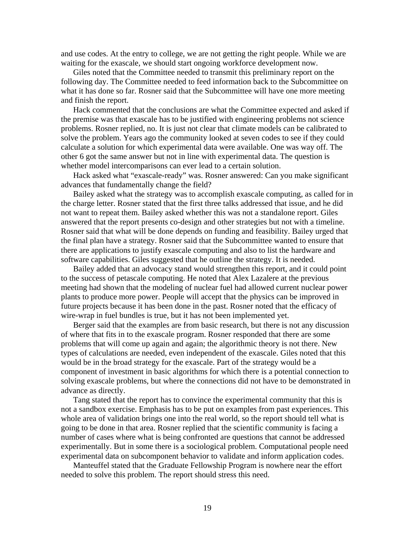and use codes. At the entry to college, we are not getting the right people. While we are waiting for the exascale, we should start ongoing workforce development now.

 Giles noted that the Committee needed to transmit this preliminary report on the following day. The Committee needed to feed information back to the Subcommittee on what it has done so far. Rosner said that the Subcommittee will have one more meeting and finish the report.

 Hack commented that the conclusions are what the Committee expected and asked if the premise was that exascale has to be justified with engineering problems not science problems. Rosner replied, no. It is just not clear that climate models can be calibrated to solve the problem. Years ago the community looked at seven codes to see if they could calculate a solution for which experimental data were available. One was way off. The other 6 got the same answer but not in line with experimental data. The question is whether model intercomparisons can ever lead to a certain solution.

 Hack asked what "exascale-ready" was. Rosner answered: Can you make significant advances that fundamentally change the field?

 Bailey asked what the strategy was to accomplish exascale computing, as called for in the charge letter. Rosner stated that the first three talks addressed that issue, and he did not want to repeat them. Bailey asked whether this was not a standalone report. Giles answered that the report presents co-design and other strategies but not with a timeline. Rosner said that what will be done depends on funding and feasibility. Bailey urged that the final plan have a strategy. Rosner said that the Subcommittee wanted to ensure that there are applications to justify exascale computing and also to list the hardware and software capabilities. Giles suggested that he outline the strategy. It is needed.

 Bailey added that an advocacy stand would strengthen this report, and it could point to the success of petascale computing. He noted that Alex Lazalere at the previous meeting had shown that the modeling of nuclear fuel had allowed current nuclear power plants to produce more power. People will accept that the physics can be improved in future projects because it has been done in the past. Rosner noted that the efficacy of wire-wrap in fuel bundles is true, but it has not been implemented yet.

 Berger said that the examples are from basic research, but there is not any discussion of where that fits in to the exascale program. Rosner responded that there are some problems that will come up again and again; the algorithmic theory is not there. New types of calculations are needed, even independent of the exascale. Giles noted that this would be in the broad strategy for the exascale. Part of the strategy would be a component of investment in basic algorithms for which there is a potential connection to solving exascale problems, but where the connections did not have to be demonstrated in advance as directly.

 Tang stated that the report has to convince the experimental community that this is not a sandbox exercise. Emphasis has to be put on examples from past experiences. This whole area of validation brings one into the real world, so the report should tell what is going to be done in that area. Rosner replied that the scientific community is facing a number of cases where what is being confronted are questions that cannot be addressed experimentally. But in some there is a sociological problem. Computational people need experimental data on subcomponent behavior to validate and inform application codes.

 Manteuffel stated that the Graduate Fellowship Program is nowhere near the effort needed to solve this problem. The report should stress this need.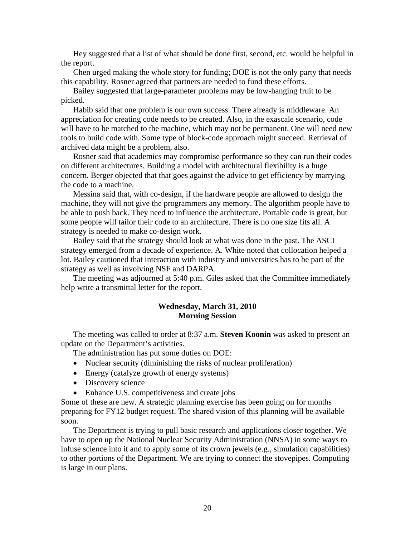Hey suggested that a list of what should be done first, second, etc. would be helpful in the report.

 Chen urged making the whole story for funding; DOE is not the only party that needs this capability. Rosner agreed that partners are needed to fund these efforts.

 Bailey suggested that large-parameter problems may be low-hanging fruit to be picked.

 Habib said that one problem is our own success. There already is middleware. An appreciation for creating code needs to be created. Also, in the exascale scenario, code will have to be matched to the machine, which may not be permanent. One will need new tools to build code with. Some type of block-code approach might succeed. Retrieval of archived data might be a problem, also.

 Rosner said that academics may compromise performance so they can run their codes on different architectures. Building a model with architectural flexibility is a huge concern. Berger objected that that goes against the advice to get efficiency by marrying the code to a machine.

 Messina said that, with co-design, if the hardware people are allowed to design the machine, they will not give the programmers any memory. The algorithm people have to be able to push back. They need to influence the architecture. Portable code is great, but some people will tailor their code to an architecture. There is no one size fits all. A strategy is needed to make co-design work.

 Bailey said that the strategy should look at what was done in the past. The ASCI strategy emerged from a decade of experience. A. White noted that collocation helped a lot. Bailey cautioned that interaction with industry and universities has to be part of the strategy as well as involving NSF and DARPA.

 The meeting was adjourned at 5:40 p.m. Giles asked that the Committee immediately help write a transmittal letter for the report.

## **Wednesday, March 31, 2010 Morning Session**

 The meeting was called to order at 8:37 a.m. **Steven Koonin** was asked to present an update on the Department's activities.

The administration has put some duties on DOE:

- Nuclear security (diminishing the risks of nuclear proliferation)
- Energy (catalyze growth of energy systems)
- Discovery science
- Enhance U.S. competitiveness and create jobs

Some of these are new. A strategic planning exercise has been going on for months preparing for FY12 budget request. The shared vision of this planning will be available soon.

 The Department is trying to pull basic research and applications closer together. We have to open up the National Nuclear Security Administration (NNSA) in some ways to infuse science into it and to apply some of its crown jewels (e.g., simulation capabilities) to other portions of the Department. We are trying to connect the stovepipes. Computing is large in our plans.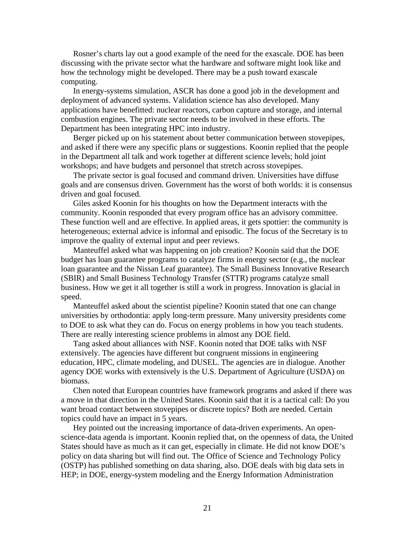Rosner's charts lay out a good example of the need for the exascale. DOE has been discussing with the private sector what the hardware and software might look like and how the technology might be developed. There may be a push toward exascale computing.

 In energy-systems simulation, ASCR has done a good job in the development and deployment of advanced systems. Validation science has also developed. Many applications have benefitted: nuclear reactors, carbon capture and storage, and internal combustion engines. The private sector needs to be involved in these efforts. The Department has been integrating HPC into industry.

 Berger picked up on his statement about better communication between stovepipes, and asked if there were any specific plans or suggestions. Koonin replied that the people in the Department all talk and work together at different science levels; hold joint workshops; and have budgets and personnel that stretch across stovepipes.

 The private sector is goal focused and command driven. Universities have diffuse goals and are consensus driven. Government has the worst of both worlds: it is consensus driven and goal focused.

 Giles asked Koonin for his thoughts on how the Department interacts with the community. Koonin responded that every program office has an advisory committee. These function well and are effective. In applied areas, it gets spottier: the community is heterogeneous; external advice is informal and episodic. The focus of the Secretary is to improve the quality of external input and peer reviews.

 Manteuffel asked what was happening on job creation? Koonin said that the DOE budget has loan guarantee programs to catalyze firms in energy sector (e.g., the nuclear loan guarantee and the Nissan Leaf guarantee). The Small Business Innovative Research (SBIR) and Small Business Technology Transfer (STTR) programs catalyze small business. How we get it all together is still a work in progress. Innovation is glacial in speed.

 Manteuffel asked about the scientist pipeline? Koonin stated that one can change universities by orthodontia: apply long-term pressure. Many university presidents come to DOE to ask what they can do. Focus on energy problems in how you teach students. There are really interesting science problems in almost any DOE field.

 Tang asked about alliances with NSF. Koonin noted that DOE talks with NSF extensively. The agencies have different but congruent missions in engineering education, HPC, climate modeling, and DUSEL. The agencies are in dialogue. Another agency DOE works with extensively is the U.S. Department of Agriculture (USDA) on biomass.

 Chen noted that European countries have framework programs and asked if there was a move in that direction in the United States. Koonin said that it is a tactical call: Do you want broad contact between stovepipes or discrete topics? Both are needed. Certain topics could have an impact in 5 years.

 Hey pointed out the increasing importance of data-driven experiments. An openscience-data agenda is important. Koonin replied that, on the openness of data, the United States should have as much as it can get, especially in climate. He did not know DOE's policy on data sharing but will find out. The Office of Science and Technology Policy (OSTP) has published something on data sharing, also. DOE deals with big data sets in HEP; in DOE, energy-system modeling and the Energy Information Administration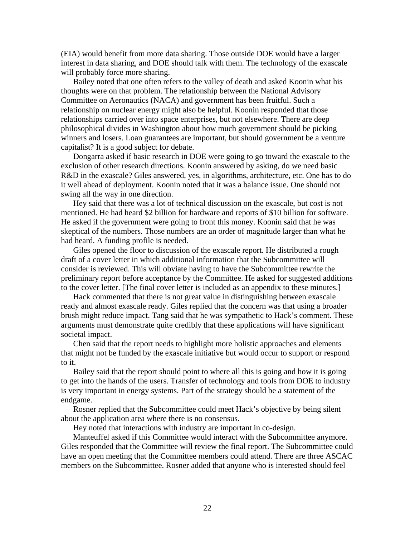(EIA) would benefit from more data sharing. Those outside DOE would have a larger interest in data sharing, and DOE should talk with them. The technology of the exascale will probably force more sharing.

 Bailey noted that one often refers to the valley of death and asked Koonin what his thoughts were on that problem. The relationship between the National Advisory Committee on Aeronautics (NACA) and government has been fruitful. Such a relationship on nuclear energy might also be helpful. Koonin responded that those relationships carried over into space enterprises, but not elsewhere. There are deep philosophical divides in Washington about how much government should be picking winners and losers. Loan guarantees are important, but should government be a venture capitalist? It is a good subject for debate.

 Dongarra asked if basic research in DOE were going to go toward the exascale to the exclusion of other research directions. Koonin answered by asking, do we need basic R&D in the exascale? Giles answered, yes, in algorithms, architecture, etc. One has to do it well ahead of deployment. Koonin noted that it was a balance issue. One should not swing all the way in one direction.

 Hey said that there was a lot of technical discussion on the exascale, but cost is not mentioned. He had heard \$2 billion for hardware and reports of \$10 billion for software. He asked if the government were going to front this money. Koonin said that he was skeptical of the numbers. Those numbers are an order of magnitude larger than what he had heard. A funding profile is needed.

 Giles opened the floor to discussion of the exascale report. He distributed a rough draft of a cover letter in which additional information that the Subcommittee will consider is reviewed. This will obviate having to have the Subcommittee rewrite the preliminary report before acceptance by the Committee. He asked for suggested additions to the cover letter. [The final cover letter is included as an appendix to these minutes.]

 Hack commented that there is not great value in distinguishing between exascale ready and almost exascale ready. Giles replied that the concern was that using a broader brush might reduce impact. Tang said that he was sympathetic to Hack's comment. These arguments must demonstrate quite credibly that these applications will have significant societal impact.

 Chen said that the report needs to highlight more holistic approaches and elements that might not be funded by the exascale initiative but would occur to support or respond to it.

 Bailey said that the report should point to where all this is going and how it is going to get into the hands of the users. Transfer of technology and tools from DOE to industry is very important in energy systems. Part of the strategy should be a statement of the endgame.

 Rosner replied that the Subcommittee could meet Hack's objective by being silent about the application area where there is no consensus.

Hey noted that interactions with industry are important in co-design.

 Manteuffel asked if this Committee would interact with the Subcommittee anymore. Giles responded that the Committee will review the final report. The Subcommittee could have an open meeting that the Committee members could attend. There are three ASCAC members on the Subcommittee. Rosner added that anyone who is interested should feel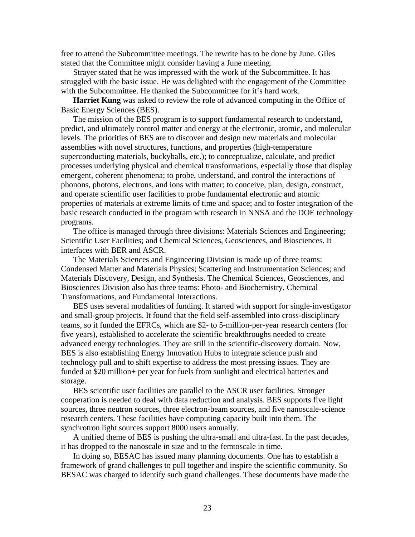free to attend the Subcommittee meetings. The rewrite has to be done by June. Giles stated that the Committee might consider having a June meeting.

 Strayer stated that he was impressed with the work of the Subcommittee. It has struggled with the basic issue. He was delighted with the engagement of the Committee with the Subcommittee. He thanked the Subcommittee for it's hard work.

 **Harriet Kung** was asked to review the role of advanced computing in the Office of Basic Energy Sciences (BES).

 The mission of the BES program is to support fundamental research to understand, predict, and ultimately control matter and energy at the electronic, atomic, and molecular levels. The priorities of BES are to discover and design new materials and molecular assemblies with novel structures, functions, and properties (high-temperature superconducting materials, buckyballs, etc.); to conceptualize, calculate, and predict processes underlying physical and chemical transformations, especially those that display emergent, coherent phenomena; to probe, understand, and control the interactions of phonons, photons, electrons, and ions with matter; to conceive, plan, design, construct, and operate scientific user facilities to probe fundamental electronic and atomic properties of materials at extreme limits of time and space; and to foster integration of the basic research conducted in the program with research in NNSA and the DOE technology programs.

 The office is managed through three divisions: Materials Sciences and Engineering; Scientific User Facilities; and Chemical Sciences, Geosciences, and Biosciences. It interfaces with BER and ASCR.

 The Materials Sciences and Engineering Division is made up of three teams: Condensed Matter and Materials Physics; Scattering and Instrumentation Sciences; and Materials Discovery, Design, and Synthesis. The Chemical Sciences, Geosciences, and Biosciences Division also has three teams: Photo- and Biochemistry, Chemical Transformations, and Fundamental Interactions.

 BES uses several modalities of funding. It started with support for single-investigator and small-group projects. It found that the field self-assembled into cross-disciplinary teams, so it funded the EFRCs, which are \$2- to 5-million-per-year research centers (for five years), established to accelerate the scientific breakthroughs needed to create advanced energy technologies. They are still in the scientific-discovery domain. Now, BES is also establishing Energy Innovation Hubs to integrate science push and technology pull and to shift expertise to address the most pressing issues. They are funded at \$20 million+ per year for fuels from sunlight and electrical batteries and storage.

 BES scientific user facilities are parallel to the ASCR user facilities. Stronger cooperation is needed to deal with data reduction and analysis. BES supports five light sources, three neutron sources, three electron-beam sources, and five nanoscale-science research centers. These facilities have computing capacity built into them. The synchrotron light sources support 8000 users annually.

 A unified theme of BES is pushing the ultra-small and ultra-fast. In the past decades, it has dropped to the nanoscale in size and to the femtoscale in time.

 In doing so, BESAC has issued many planning documents. One has to establish a framework of grand challenges to pull together and inspire the scientific community. So BESAC was charged to identify such grand challenges. These documents have made the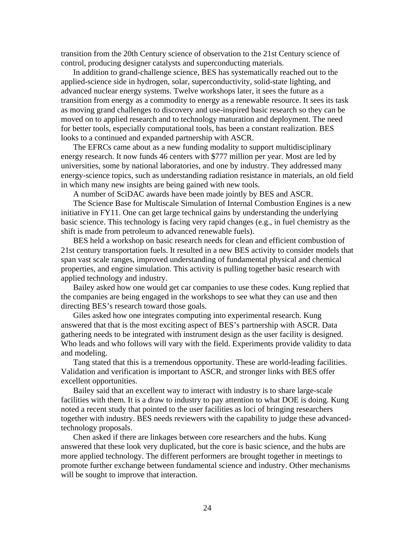transition from the 20th Century science of observation to the 21st Century science of control, producing designer catalysts and superconducting materials.

 In addition to grand-challenge science, BES has systematically reached out to the applied-science side in hydrogen, solar, superconductivity, solid-state lighting, and advanced nuclear energy systems. Twelve workshops later, it sees the future as a transition from energy as a commodity to energy as a renewable resource. It sees its task as moving grand challenges to discovery and use-inspired basic research so they can be moved on to applied research and to technology maturation and deployment. The need for better tools, especially computational tools, has been a constant realization. BES looks to a continued and expanded partnership with ASCR.

 The EFRCs came about as a new funding modality to support multidisciplinary energy research. It now funds 46 centers with \$777 million per year. Most are led by universities, some by national laboratories, and one by industry. They addressed many energy-science topics, such as understanding radiation resistance in materials, an old field in which many new insights are being gained with new tools.

A number of SciDAC awards have been made jointly by BES and ASCR.

 The Science Base for Multiscale Simulation of Internal Combustion Engines is a new initiative in FY11. One can get large technical gains by understanding the underlying basic science. This technology is facing very rapid changes (e.g., in fuel chemistry as the shift is made from petroleum to advanced renewable fuels).

 BES held a workshop on basic research needs for clean and efficient combustion of 21st century transportation fuels. It resulted in a new BES activity to consider models that span vast scale ranges, improved understanding of fundamental physical and chemical properties, and engine simulation. This activity is pulling together basic research with applied technology and industry.

 Bailey asked how one would get car companies to use these codes. Kung replied that the companies are being engaged in the workshops to see what they can use and then directing BES's research toward those goals.

 Giles asked how one integrates computing into experimental research. Kung answered that that is the most exciting aspect of BES's partnership with ASCR. Data gathering needs to be integrated with instrument design as the user facility is designed. Who leads and who follows will vary with the field. Experiments provide validity to data and modeling.

 Tang stated that this is a tremendous opportunity. These are world-leading facilities. Validation and verification is important to ASCR, and stronger links with BES offer excellent opportunities.

 Bailey said that an excellent way to interact with industry is to share large-scale facilities with them. It is a draw to industry to pay attention to what DOE is doing. Kung noted a recent study that pointed to the user facilities as loci of bringing researchers together with industry. BES needs reviewers with the capability to judge these advancedtechnology proposals.

 Chen asked if there are linkages between core researchers and the hubs. Kung answered that these look very duplicated, but the core is basic science, and the hubs are more applied technology. The different performers are brought together in meetings to promote further exchange between fundamental science and industry. Other mechanisms will be sought to improve that interaction.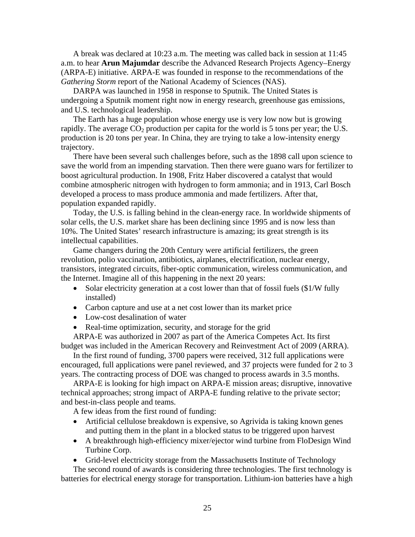A break was declared at 10:23 a.m. The meeting was called back in session at 11:45 a.m. to hear **Arun Majumdar** describe the Advanced Research Projects Agency–Energy (ARPA-E) initiative. ARPA-E was founded in response to the recommendations of the *Gathering Storm* report of the National Academy of Sciences (NAS).

 DARPA was launched in 1958 in response to Sputnik. The United States is undergoing a Sputnik moment right now in energy research, greenhouse gas emissions, and U.S. technological leadership.

 The Earth has a huge population whose energy use is very low now but is growing rapidly. The average  $CO_2$  production per capita for the world is 5 tons per year; the U.S. production is 20 tons per year. In China, they are trying to take a low-intensity energy trajectory.

 There have been several such challenges before, such as the 1898 call upon science to save the world from an impending starvation. Then there were guano wars for fertilizer to boost agricultural production. In 1908, Fritz Haber discovered a catalyst that would combine atmospheric nitrogen with hydrogen to form ammonia; and in 1913, Carl Bosch developed a process to mass produce ammonia and made fertilizers. After that, population expanded rapidly.

 Today, the U.S. is falling behind in the clean-energy race. In worldwide shipments of solar cells, the U.S. market share has been declining since 1995 and is now less than 10%. The United States' research infrastructure is amazing; its great strength is its intellectual capabilities.

 Game changers during the 20th Century were artificial fertilizers, the green revolution, polio vaccination, antibiotics, airplanes, electrification, nuclear energy, transistors, integrated circuits, fiber-optic communication, wireless communication, and the Internet. Imagine all of this happening in the next 20 years:

- Solar electricity generation at a cost lower than that of fossil fuels (\$1/W fully installed)
- Carbon capture and use at a net cost lower than its market price
- Low-cost desalination of water
- Real-time optimization, security, and storage for the grid

 ARPA-E was authorized in 2007 as part of the America Competes Act. Its first budget was included in the American Recovery and Reinvestment Act of 2009 (ARRA).

 In the first round of funding, 3700 papers were received, 312 full applications were encouraged, full applications were panel reviewed, and 37 projects were funded for 2 to 3 years. The contracting process of DOE was changed to process awards in 3.5 months.

 ARPA-E is looking for high impact on ARPA-E mission areas; disruptive, innovative technical approaches; strong impact of ARPA-E funding relative to the private sector; and best-in-class people and teams.

A few ideas from the first round of funding:

- Artificial cellulose breakdown is expensive, so Agrivida is taking known genes and putting them in the plant in a blocked status to be triggered upon harvest
- A breakthrough high-efficiency mixer/ejector wind turbine from FloDesign Wind Turbine Corp.
- Grid-level electricity storage from the Massachusetts Institute of Technology

 The second round of awards is considering three technologies. The first technology is batteries for electrical energy storage for transportation. Lithium-ion batteries have a high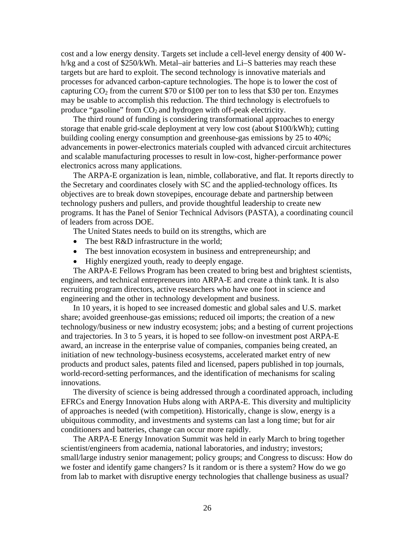cost and a low energy density. Targets set include a cell-level energy density of 400 Wh/kg and a cost of \$250/kWh. Metal–air batteries and Li–S batteries may reach these targets but are hard to exploit. The second technology is innovative materials and processes for advanced carbon-capture technologies. The hope is to lower the cost of capturing  $CO_2$  from the current \$70 or \$100 per ton to less that \$30 per ton. Enzymes may be usable to accomplish this reduction. The third technology is electrofuels to produce "gasoline" from  $CO<sub>2</sub>$  and hydrogen with off-peak electricity.

 The third round of funding is considering transformational approaches to energy storage that enable grid-scale deployment at very low cost (about \$100/kWh); cutting building cooling energy consumption and greenhouse-gas emissions by 25 to 40%; advancements in power-electronics materials coupled with advanced circuit architectures and scalable manufacturing processes to result in low-cost, higher-performance power electronics across many applications.

 The ARPA-E organization is lean, nimble, collaborative, and flat. It reports directly to the Secretary and coordinates closely with SC and the applied-technology offices. Its objectives are to break down stovepipes, encourage debate and partnership between technology pushers and pullers, and provide thoughtful leadership to create new programs. It has the Panel of Senior Technical Advisors (PASTA), a coordinating council of leaders from across DOE.

The United States needs to build on its strengths, which are

- The best R&D infrastructure in the world;
- The best innovation ecosystem in business and entrepreneurship; and
- Highly energized youth, ready to deeply engage.

 The ARPA-E Fellows Program has been created to bring best and brightest scientists, engineers, and technical entrepreneurs into ARPA-E and create a think tank. It is also recruiting program directors, active researchers who have one foot in science and engineering and the other in technology development and business.

 In 10 years, it is hoped to see increased domestic and global sales and U.S. market share; avoided greenhouse-gas emissions; reduced oil imports; the creation of a new technology/business or new industry ecosystem; jobs; and a besting of current projections and trajectories. In 3 to 5 years, it is hoped to see follow-on investment post ARPA-E award, an increase in the enterprise value of companies, companies being created, an initiation of new technology-business ecosystems, accelerated market entry of new products and product sales, patents filed and licensed, papers published in top journals, world-record-setting performances, and the identification of mechanisms for scaling innovations.

 The diversity of science is being addressed through a coordinated approach, including EFRCs and Energy Innovation Hubs along with ARPA-E. This diversity and multiplicity of approaches is needed (with competition). Historically, change is slow, energy is a ubiquitous commodity, and investments and systems can last a long time; but for air conditioners and batteries, change can occur more rapidly.

 The ARPA-E Energy Innovation Summit was held in early March to bring together scientist/engineers from academia, national laboratories, and industry; investors; small/large industry senior management; policy groups; and Congress to discuss: How do we foster and identify game changers? Is it random or is there a system? How do we go from lab to market with disruptive energy technologies that challenge business as usual?